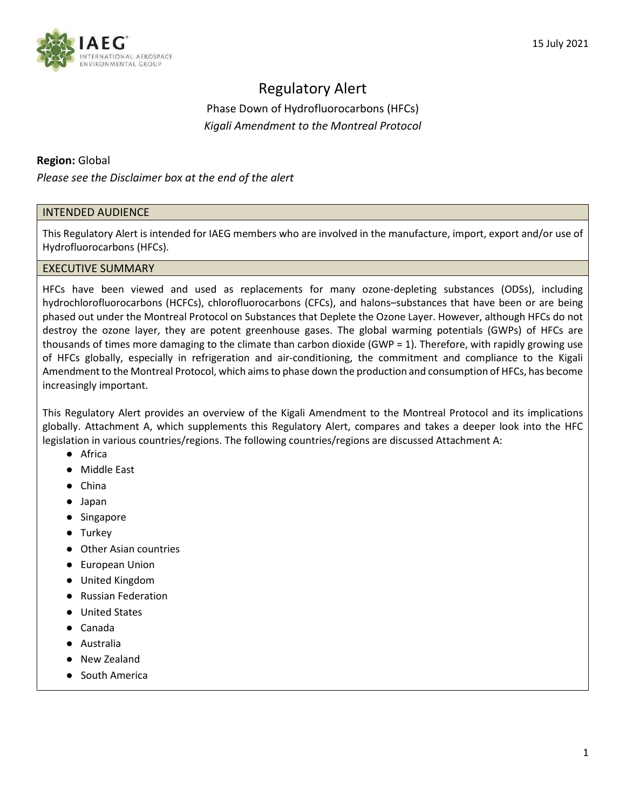

# Regulatory Alert

Phase Down of Hydrofluorocarbons (HFCs) *Kigali Amendment to the Montreal Protocol*

## **Region:** Global

*Please see the Disclaimer box at the end of the alert*

### INTENDED AUDIENCE

This Regulatory Alert is intended for IAEG members who are involved in the manufacture, import, export and/or use of Hydrofluorocarbons (HFCs).

### EXECUTIVE SUMMARY

HFCs have been viewed and used as replacements for many ozone-depleting substances (ODSs), including hydrochlorofluorocarbons (HCFCs), chlorofluorocarbons (CFCs), and halons–substances that have been or are being phased out under the Montreal Protocol on Substances that Deplete the Ozone Layer. However, although HFCs do not destroy the ozone layer, they are potent greenhouse gases. The global warming potentials (GWPs) of HFCs are thousands of times more damaging to the climate than carbon dioxide (GWP = 1). Therefore, with rapidly growing use of HFCs globally, especially in refrigeration and air-conditioning, the commitment and compliance to the Kigali Amendment to the Montreal Protocol, which aims to phase down the production and consumption of HFCs, has become increasingly important.

This Regulatory Alert provides an overview of the Kigali Amendment to the Montreal Protocol and its implications globally. Attachment A, which supplements this Regulatory Alert, compares and takes a deeper look into the HFC legislation in various countries/regions. The following countries/regions are discussed Attachment A:

- Africa
- Middle East
- China
- Japan
- Singapore
- Turkey
- Other Asian countries
- European Union
- United Kingdom
- Russian Federation
- United States
- Canada
- Australia
- New Zealand
- South America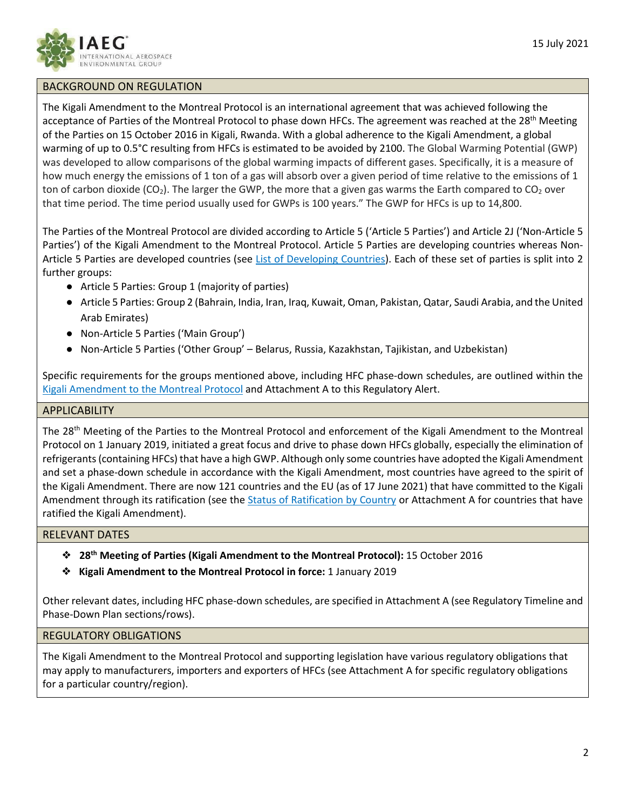

## BACKGROUND ON REGULATION

The Kigali Amendment to the Montreal Protocol is an international agreement that was achieved following the acceptance of Parties of the Montreal Protocol to phase down HFCs. The agreement was reached at the 28<sup>th</sup> Meeting of the Parties on 15 October 2016 in Kigali, Rwanda. With a global adherence to the Kigali Amendment, a global warming of up to 0.5°C resulting from HFCs is estimated to be avoided by 2100. The Global Warming Potential (GWP) was developed to allow comparisons of the global warming impacts of different gases. Specifically, it is a measure of how much energy the emissions of 1 ton of a gas will absorb over a given period of time relative to the emissions of 1 ton of carbon dioxide (CO<sub>2</sub>). The larger the GWP, the more that a given gas warms the Earth compared to CO<sub>2</sub> over that time period. The time period usually used for GWPs is 100 years." The GWP for HFCs is up to 14,800.

The Parties of the Montreal Protocol are divided according to Article 5 ('Article 5 Parties') and Article 2J ('Non-Article 5 Parties') of the Kigali Amendment to the Montreal Protocol. Article 5 Parties are developing countries whereas Non-Article 5 Parties are developed countries (see [List of Developing Countries\)](https://ozone.unep.org/treaties/montreal-protocol/meetings/first-meeting-parties/decisions/decision-i12e-clarification-terms-and-definitions-developing-countries). Each of these set of parties is split into 2 further groups:

- Article 5 Parties: Group 1 (majority of parties)
- Article 5 Parties: Group 2 (Bahrain, India, Iran, Iraq, Kuwait, Oman, Pakistan, Qatar, Saudi Arabia, and the United Arab Emirates)
- Non-Article 5 Parties ('Main Group')
- Non-Article 5 Parties ('Other Group' Belarus, Russia, Kazakhstan, Tajikistan, and Uzbekistan)

Specific requirements for the groups mentioned above, including HFC phase-down schedules, are outlined within the [Kigali Amendment to the Montreal Protocol](https://ozone.unep.org/treaties/montreal-protocol/amendments/kigali-amendment-2016-amendment-montreal-protocol-agreed) and Attachment A to this Regulatory Alert.

### APPLICABILITY

The 28th Meeting of the Parties to the Montreal Protocol and enforcement of the Kigali Amendment to the Montreal Protocol on 1 January 2019, initiated a great focus and drive to phase down HFCs globally, especially the elimination of refrigerants (containing HFCs) that have a high GWP. Although only some countries have adopted the Kigali Amendment and set a phase-down schedule in accordance with the Kigali Amendment, most countries have agreed to the spirit of the Kigali Amendment. There are now 121 countries and the EU (as of 17 June 2021) that have committed to the Kigali Amendment through its ratification (see the *Status of Ratification by Country* or Attachment A for countries that have ratified the Kigali Amendment).

## RELEVANT DATES

- ❖ **28th Meeting of Parties (Kigali Amendment to the Montreal Protocol):** 15 October 2016
- ❖ **Kigali Amendment to the Montreal Protocol in force:** 1 January 2019

Other relevant dates, including HFC phase-down schedules, are specified in Attachment A (see Regulatory Timeline and Phase-Down Plan sections/rows).

## REGULATORY OBLIGATIONS

The Kigali Amendment to the Montreal Protocol and supporting legislation have various regulatory obligations that may apply to manufacturers, importers and exporters of HFCs (see Attachment A for specific regulatory obligations for a particular country/region).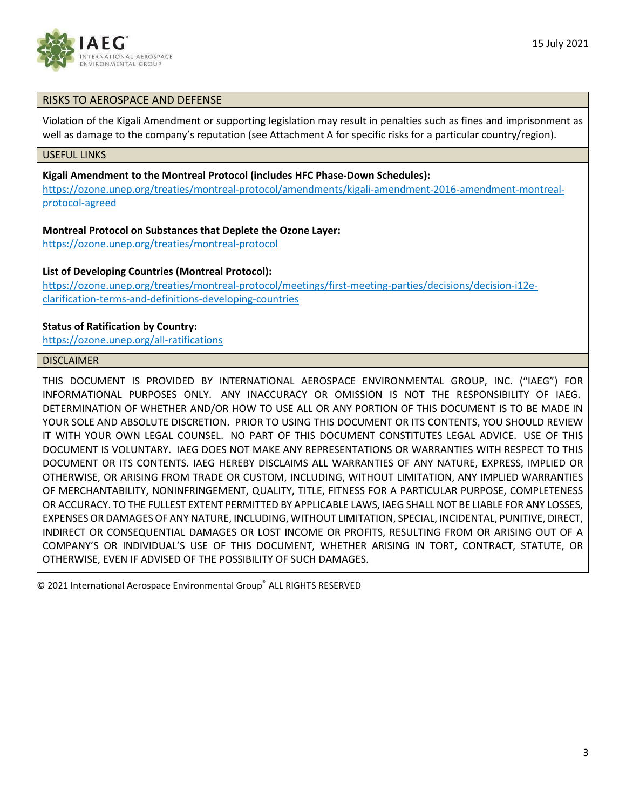

### RISKS TO AEROSPACE AND DEFENSE

Violation of the Kigali Amendment or supporting legislation may result in penalties such as fines and imprisonment as well as damage to the company's reputation (see Attachment A for specific risks for a particular country/region).

#### USEFUL LINKS

**Kigali Amendment to the Montreal Protocol (includes HFC Phase-Down Schedules):**

[https://ozone.unep.org/treaties/montreal-protocol/amendments/kigali-amendment-2016-amendment-montreal](https://ozone.unep.org/treaties/montreal-protocol/amendments/kigali-amendment-2016-amendment-montreal-protocol-agreed)[protocol-agreed](https://ozone.unep.org/treaties/montreal-protocol/amendments/kigali-amendment-2016-amendment-montreal-protocol-agreed)

#### **Montreal Protocol on Substances that Deplete the Ozone Layer:**

<https://ozone.unep.org/treaties/montreal-protocol>

#### **List of Developing Countries (Montreal Protocol):**

[https://ozone.unep.org/treaties/montreal-protocol/meetings/first-meeting-parties/decisions/decision-i12e](https://ozone.unep.org/treaties/montreal-protocol/meetings/first-meeting-parties/decisions/decision-i12e-clarification-terms-and-definitions-developing-countries)[clarification-terms-and-definitions-developing-countries](https://ozone.unep.org/treaties/montreal-protocol/meetings/first-meeting-parties/decisions/decision-i12e-clarification-terms-and-definitions-developing-countries)

#### **Status of Ratification by Country:**

<https://ozone.unep.org/all-ratifications>

### DISCLAIMER

THIS DOCUMENT IS PROVIDED BY INTERNATIONAL AEROSPACE ENVIRONMENTAL GROUP, INC. ("IAEG") FOR INFORMATIONAL PURPOSES ONLY.  ANY INACCURACY OR OMISSION IS NOT THE RESPONSIBILITY OF IAEG.  DETERMINATION OF WHETHER AND/OR HOW TO USE ALL OR ANY PORTION OF THIS DOCUMENT IS TO BE MADE IN YOUR SOLE AND ABSOLUTE DISCRETION.  PRIOR TO USING THIS DOCUMENT OR ITS CONTENTS, YOU SHOULD REVIEW IT WITH YOUR OWN LEGAL COUNSEL.  NO PART OF THIS DOCUMENT CONSTITUTES LEGAL ADVICE.  USE OF THIS DOCUMENT IS VOLUNTARY.  IAEG DOES NOT MAKE ANY REPRESENTATIONS OR WARRANTIES WITH RESPECT TO THIS DOCUMENT OR ITS CONTENTS. IAEG HEREBY DISCLAIMS ALL WARRANTIES OF ANY NATURE, EXPRESS, IMPLIED OR OTHERWISE, OR ARISING FROM TRADE OR CUSTOM, INCLUDING, WITHOUT LIMITATION, ANY IMPLIED WARRANTIES OF MERCHANTABILITY, NONINFRINGEMENT, QUALITY, TITLE, FITNESS FOR A PARTICULAR PURPOSE, COMPLETENESS OR ACCURACY. TO THE FULLEST EXTENT PERMITTED BY APPLICABLE LAWS, IAEG SHALL NOT BE LIABLE FOR ANY LOSSES, EXPENSES OR DAMAGES OF ANY NATURE, INCLUDING, WITHOUT LIMITATION, SPECIAL, INCIDENTAL, PUNITIVE, DIRECT, INDIRECT OR CONSEQUENTIAL DAMAGES OR LOST INCOME OR PROFITS, RESULTING FROM OR ARISING OUT OF A COMPANY'S OR INDIVIDUAL'S USE OF THIS DOCUMENT, WHETHER ARISING IN TORT, CONTRACT, STATUTE, OR OTHERWISE, EVEN IF ADVISED OF THE POSSIBILITY OF SUCH DAMAGES.

© 2021 International Aerospace Environmental Group® ALL RIGHTS RESERVED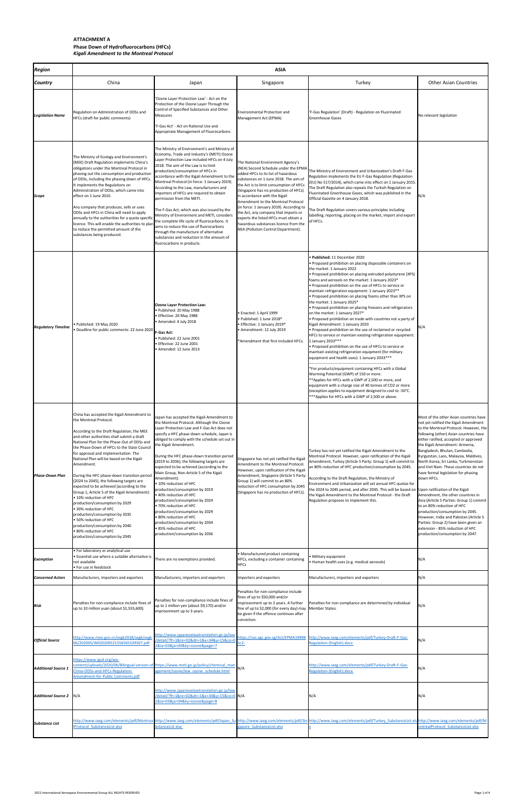# **ATTACHMENT A**

# **Phase Down of Hydrofluorocarbons (HFCs)** *Kigali Amendment to the Montreal Protocol*

| <b>Region</b>                  | <b>ASIA</b>                                                                                                                                                                                                                                                                                                                                                                                                                                                                                                                                                                                                                                                                                                                                                                                                |                                                                                                                                                                                                                                                                                                                                                                                                                                                                                                                                                                                                                                                                                                                                                                                         |                                                                                                                                                                                                                                                                                                                                                                                                                                                                                                                                   |                                                                                                                                                                                                                                                                                                                                                                                                                                                                                                                                                                                                                                                                                                                                                                                                                                                                                                                                                                                                                                                                                                                                                                                                                                                                                                                                             |                                                                                                                                                                                                                                                                                                                                                                                                                                                                                                                                                                                                                                                                                                                                                                          |
|--------------------------------|------------------------------------------------------------------------------------------------------------------------------------------------------------------------------------------------------------------------------------------------------------------------------------------------------------------------------------------------------------------------------------------------------------------------------------------------------------------------------------------------------------------------------------------------------------------------------------------------------------------------------------------------------------------------------------------------------------------------------------------------------------------------------------------------------------|-----------------------------------------------------------------------------------------------------------------------------------------------------------------------------------------------------------------------------------------------------------------------------------------------------------------------------------------------------------------------------------------------------------------------------------------------------------------------------------------------------------------------------------------------------------------------------------------------------------------------------------------------------------------------------------------------------------------------------------------------------------------------------------------|-----------------------------------------------------------------------------------------------------------------------------------------------------------------------------------------------------------------------------------------------------------------------------------------------------------------------------------------------------------------------------------------------------------------------------------------------------------------------------------------------------------------------------------|---------------------------------------------------------------------------------------------------------------------------------------------------------------------------------------------------------------------------------------------------------------------------------------------------------------------------------------------------------------------------------------------------------------------------------------------------------------------------------------------------------------------------------------------------------------------------------------------------------------------------------------------------------------------------------------------------------------------------------------------------------------------------------------------------------------------------------------------------------------------------------------------------------------------------------------------------------------------------------------------------------------------------------------------------------------------------------------------------------------------------------------------------------------------------------------------------------------------------------------------------------------------------------------------------------------------------------------------|--------------------------------------------------------------------------------------------------------------------------------------------------------------------------------------------------------------------------------------------------------------------------------------------------------------------------------------------------------------------------------------------------------------------------------------------------------------------------------------------------------------------------------------------------------------------------------------------------------------------------------------------------------------------------------------------------------------------------------------------------------------------------|
| <b>Country</b>                 | China                                                                                                                                                                                                                                                                                                                                                                                                                                                                                                                                                                                                                                                                                                                                                                                                      | Japan                                                                                                                                                                                                                                                                                                                                                                                                                                                                                                                                                                                                                                                                                                                                                                                   | Singapore                                                                                                                                                                                                                                                                                                                                                                                                                                                                                                                         | Turkey                                                                                                                                                                                                                                                                                                                                                                                                                                                                                                                                                                                                                                                                                                                                                                                                                                                                                                                                                                                                                                                                                                                                                                                                                                                                                                                                      | <b>Other Asian Countries</b>                                                                                                                                                                                                                                                                                                                                                                                                                                                                                                                                                                                                                                                                                                                                             |
| <b>Legislation Name</b>        | Regulation on Administration of ODSs and<br>HFCs (draft for public comments)                                                                                                                                                                                                                                                                                                                                                                                                                                                                                                                                                                                                                                                                                                                               | 'Ozone Layer Protection Law' - Act on the<br>Protection of the Ozone Layer Through the<br>Control of Specified Substances and Other<br>Measures<br>'F-Gas Act' - Act on Rational Use and<br>Appropriate Management of Fluorocarbons                                                                                                                                                                                                                                                                                                                                                                                                                                                                                                                                                     | <b>Environmental Protection and</b><br>Management Act (EPMA)                                                                                                                                                                                                                                                                                                                                                                                                                                                                      | 'F-Gas Regulation' (Draft) - Regulation on Fluorinated<br><b>Greenhouse Gases</b>                                                                                                                                                                                                                                                                                                                                                                                                                                                                                                                                                                                                                                                                                                                                                                                                                                                                                                                                                                                                                                                                                                                                                                                                                                                           | No relevant legislation                                                                                                                                                                                                                                                                                                                                                                                                                                                                                                                                                                                                                                                                                                                                                  |
| <b>Scope</b>                   | The Ministry of Ecology and Environment's<br>MEE) Draft Regulation implements China's<br>obligations under the Montreal Protocol in<br>phasing out the consumption and production<br>of ODSs, including the phasing down of HFCs.<br>It implements the Regulations on<br>Administration of ODSs, which came into<br>effect on 1 June 2010.<br>Any company that produces, sells or uses<br>ODSs and HFCs in China will need to apply<br>annually to the authorities for a quota specific<br>licence. This will enable the authorities to plan<br>to reduce the permitted amount of the<br>substances being produced.                                                                                                                                                                                        | The Ministry of Environment's and Ministry of<br>Economy, Trade and Industry's (METI) Ozone<br>Layer Protection Law included HFCs on 4 July<br>2018. The aim of the Law is to limit<br>production/consumption of HFCs in<br>accordance with the Kigali Amendment to the<br>Montreal Protocol (in force: 1 January 2019).<br>According to the Law, manufacturers and<br>importers of HFCs are required to obtain<br>permission from the METI.<br>The F-Gas Act, which was also issued by the<br>Ministry of Environment and METI, considers<br>the complete life cycle of fluorocarbons. It<br>aims to reduce the use of fluorocarbons<br>through the manufacture of alternative<br>substances and reduction in the amount of<br>fluorocarbons in products.                              | The National Environment Agency's<br>(NEA) Second Schedule under the EPMA<br>added HFCs to its list of hazardous<br>substances on 1 June 2018. The aim of<br>the Act is to limit consumption of HFCs<br>(Singapore has no production of HFCs)<br>in accordance with the Kigali<br>Amendment to the Montreal Protocol<br>(in force: 1 January 2019). According to<br>the Act, any company that imports or<br>exports the listed HFCs must obtain a<br>hazardous substances licence from the<br>NEA (Pollution Control Department). | The Ministry of Environment and Urbanization's Draft F-Gas<br>Regulation implements the EU F-Gas Regulation (Regulation<br>(EU) No 517/2014), which came into effect on 1 January 2015.<br>The Draft Regulation also repeals the Turkish Regulation on<br>Fluorinated Greenhouse Gases, which was published in the<br>Official Gazette on 4 January 2018.<br>The Draft Regulation covers various principles including<br>labelling, reporting, placing on the market, import and export<br>of HFCs.                                                                                                                                                                                                                                                                                                                                                                                                                                                                                                                                                                                                                                                                                                                                                                                                                                         | N/A                                                                                                                                                                                                                                                                                                                                                                                                                                                                                                                                                                                                                                                                                                                                                                      |
| <b>Regulatory Timeline</b>     | • Published: 19 May 2020<br>• Deadline for public comments: 22 June 2020 <b>F-Gas Act:</b>                                                                                                                                                                                                                                                                                                                                                                                                                                                                                                                                                                                                                                                                                                                 | <b>Ozone Layer Protection Law:</b><br>. Published: 20 May 1988<br>Effective: 20 May 1988<br>• Amended: 4 July 2018<br>● Published: 22 June 2001<br>Effective: 22 June 2001<br>• Amended: 12 June 2013                                                                                                                                                                                                                                                                                                                                                                                                                                                                                                                                                                                   | • Enacted: 1 April 1999<br>• Published: 1 June 2018*<br>• Effective: 1 January 2019*<br>• Amendment: 12 July 2019<br>*Amendment that first included HFCs.                                                                                                                                                                                                                                                                                                                                                                         | . Published: 11 December 2020<br>• Proposed prohibition on placing disposable containers on<br>the market: 1 January 2022<br>• Proposed prohibition on placing extruded polystyrene (XPS)<br>foams and aerosols on the market: 1 January 2023*<br>• Proposed prohibition on the use of HFCs to service or<br>maintain refrigeration equipment: 1 January 2023 **<br>• Proposed prohibition on placing foams other than XPS on<br>the market: 1 January 2025*<br>• Proposed prohibition on placing freezers and refrigerators<br>on the market: 1 January 2027*<br>• Proposed prohibition on trade with countries not a party of<br>Kigali Amendment: 1 January 2033<br>• Proposed prohibition on the use of reclaimed or recycled<br>HFCs to service or maintain existing refrigeration equipment:<br>1 January 2033***<br>• Proposed prohibition on the use of HFCs to service or<br>maintain existing refrigeration equipment (for military<br>equipment and health uses): 1 January 2033 ***<br>*For products/equipment containing HFCs with a Global<br>Warming Potential (GWP) of 150 or more.<br>** Applies for HFCs with a GWP of 2,500 or more, and<br>equipment with a charge size of 40 tonnes of CO2 or more<br>(exception applies to equipment designed to cool to -50°C.<br>*** Applies for HFCs with a GWP of 2,500 or above. | N/A                                                                                                                                                                                                                                                                                                                                                                                                                                                                                                                                                                                                                                                                                                                                                                      |
| <b>Phase-Down Plan</b>         | China has accepted the Kigali Amendment to<br>the Montreal Protocol.<br>According to the Draft Regulation, the MEE<br>and other authorities shall submit a draft<br>National Plan for the Phase-Out of ODSs and<br>the Phase-Down of HFCs to the State Council<br>for approval and implementation. The<br>National Plan will be based on the Kigali<br>Amendment.<br>During the HFC phase-down transition period<br>(2024 to 2045), the following targets are<br>expected to be achieved (according to the<br>Group 1, Article 5 of the Kigali Amendment):<br>• 10% reduction of HFC<br>production/consumption by 2029<br>• 30% reduction of HFC<br>production/consumption by 2035<br>• 50% reduction of HFC<br>production/consumption by 2040<br>• 80% reduction of HFC<br>production/consumption by 2045 | Japan has accepted the Kigali Amendment to<br>the Montreal Protocol. Although the Ozone<br>Layer Protection Law and F-Gas Act does not<br>specify a HFC phase-down schedule, Japan is<br>obliged to comply with the schedule set out in<br>the Kigali Amendment.<br>During the HFC phase-down transition period<br>(2019 to 2036), the following targets are<br>expected to be achieved (according to the<br>Main Group, Non-Article 5 of the Kigali<br>Amendment):<br>$\bullet$ 10% reduction of HFC<br>production/consumption by 2019<br>● 40% reduction of HFC<br>production/consumption by 2024<br>• 70% reduction of HFC<br>production/consumption by 2029<br>• 80% reduction of HFC<br>production/consumption by 2034<br>• 85% reduction of HFC<br>production/consumption by 2036 | Singapore has not yet ratified the Kigali<br>Amendment to the Montreal Protocol.<br>However, upon ratification of the Kigali<br>Amendment, Singapore (Article 5 Party:<br>Group 1) will commit to an 80%<br>reduction of HFC consumption by 2045<br>(Singapore has no production of HFCs).                                                                                                                                                                                                                                        | Turkey has not yet ratified the Kigali Amendment to the<br>Montreal Protocol. However, upon ratification of the Kigali<br>Amendment, Turkey (Article 5 Party: Group 1) will commit to<br>In 80% reduction of HFC production/consumption by 2045.<br>According to the Draft Regulation, the Ministry of<br>Environment and Urbanization will set annual HFC quotas for<br>the 2024 to 2045 period, and after 2045. This will be based on Upon ratification of the Kigali<br>the Kigali Amendment to the Montreal Protocol - the Draft<br>Regulation proposes to implement this.                                                                                                                                                                                                                                                                                                                                                                                                                                                                                                                                                                                                                                                                                                                                                              | Most of the other Asian countries have<br>not yet ratified the Kigali Amendment<br>to the Montreal Protocol. However, the<br>following (other) Asian countries have<br>either ratified, accepted or approved<br>the Kigali Amendment: Armenia,<br>Bangladesh, Bhutan, Cambodia,<br>Kyrgyzstan, Laos, Malaysia, Maldives,<br>North Korea, Sri Lanka, Turkmenistan<br>and Viet Nam. These countries do not<br>have formal legislation for phasing<br>down HFCs.<br>Amendment, the other countries in<br>Asia (Article 5 Parties: Group 1) commit<br>to an 80% reduction of HFC<br>production/consumption by 2045.<br>However, India and Pakistan (Article 5<br>Parties: Group 2) have been given an<br>extension - 85% reduction of HFC<br>production/consumption by 2047. |
| <b>Exemption</b>               | • For laboratory or analytical use<br>· Essential use where a suitable alternative is<br>not available<br>• For use in feedstock                                                                                                                                                                                                                                                                                                                                                                                                                                                                                                                                                                                                                                                                           | There are no exemptions provided.                                                                                                                                                                                                                                                                                                                                                                                                                                                                                                                                                                                                                                                                                                                                                       | • Manufactured product containing<br>HFCs, excluding a container containing<br><b>HFCs</b>                                                                                                                                                                                                                                                                                                                                                                                                                                        | · Military equipment<br>· Human health uses (e.g. medical aerosols)                                                                                                                                                                                                                                                                                                                                                                                                                                                                                                                                                                                                                                                                                                                                                                                                                                                                                                                                                                                                                                                                                                                                                                                                                                                                         | N/A                                                                                                                                                                                                                                                                                                                                                                                                                                                                                                                                                                                                                                                                                                                                                                      |
| <b>Concerned Actors</b>        | Manufacturers, importers and exporters                                                                                                                                                                                                                                                                                                                                                                                                                                                                                                                                                                                                                                                                                                                                                                     | Manufacturers, importers and exporters                                                                                                                                                                                                                                                                                                                                                                                                                                                                                                                                                                                                                                                                                                                                                  | Importers and exporters                                                                                                                                                                                                                                                                                                                                                                                                                                                                                                           | Manufacturers, importers and exporters                                                                                                                                                                                                                                                                                                                                                                                                                                                                                                                                                                                                                                                                                                                                                                                                                                                                                                                                                                                                                                                                                                                                                                                                                                                                                                      | N/A                                                                                                                                                                                                                                                                                                                                                                                                                                                                                                                                                                                                                                                                                                                                                                      |
| <b>Risk</b>                    | Penalties for non-compliance include fines of<br>up to 10 million yuan (about \$1,555,600).                                                                                                                                                                                                                                                                                                                                                                                                                                                                                                                                                                                                                                                                                                                | Penalties for non-compliance include fines of<br>up to 1 million yen (about \$9,170) and/or<br>imprisonment up to 3 years.                                                                                                                                                                                                                                                                                                                                                                                                                                                                                                                                                                                                                                                              | Penalties for non-compliance include<br>fines of up to \$50,000 and/or<br>imprisonment up to 2 years. A further<br>Penalties for non-compliance are determined by individual<br>fine of up to \$2,000 (for every day) may<br>Member States.<br>be given if the offence continues after<br>conviction.                                                                                                                                                                                                                             |                                                                                                                                                                                                                                                                                                                                                                                                                                                                                                                                                                                                                                                                                                                                                                                                                                                                                                                                                                                                                                                                                                                                                                                                                                                                                                                                             | N/A                                                                                                                                                                                                                                                                                                                                                                                                                                                                                                                                                                                                                                                                                                                                                                      |
| <b>Official Source</b>         | http://www.mee.gov.cn/xxgk2018/xxgk/xxgk<br>06/202005/W020200521556565109307.pdf                                                                                                                                                                                                                                                                                                                                                                                                                                                                                                                                                                                                                                                                                                                           | http://www.japaneselawtranslation.go.jp/law<br>/detail/?ft=1&re=02&dn=1&x=34&y=15&co=0<br>1&ia=03&ja=04&ky=ozone&page=7                                                                                                                                                                                                                                                                                                                                                                                                                                                                                                                                                                                                                                                                 | $Sc2-$                                                                                                                                                                                                                                                                                                                                                                                                                                                                                                                            | https://sso.agc.gov.sg/Act/EPMA1999# http://www.iaeg.com/elements/pdf/Turkey-Draft-F-Gas-<br>Regulation-(English).docx                                                                                                                                                                                                                                                                                                                                                                                                                                                                                                                                                                                                                                                                                                                                                                                                                                                                                                                                                                                                                                                                                                                                                                                                                      | N/A                                                                                                                                                                                                                                                                                                                                                                                                                                                                                                                                                                                                                                                                                                                                                                      |
| <b>Additional Source 1</b>     | https://www.igsd.org/wp-<br>China-ODSs-and-HFCs-Regulation-<br>Amendment-for-Public Comments.pdf                                                                                                                                                                                                                                                                                                                                                                                                                                                                                                                                                                                                                                                                                                           | content/uploads/2020/06/Bilingual-version-of-https://www.meti.go.jp/policy/chemical man<br>agement/ozone/law ozone schedule.html                                                                                                                                                                                                                                                                                                                                                                                                                                                                                                                                                                                                                                                        | N/A                                                                                                                                                                                                                                                                                                                                                                                                                                                                                                                               | http://www.iaeg.com/elements/pdf/Turkey-Draft-F-Gas-<br>Regulation-(English).docx                                                                                                                                                                                                                                                                                                                                                                                                                                                                                                                                                                                                                                                                                                                                                                                                                                                                                                                                                                                                                                                                                                                                                                                                                                                           | N/A                                                                                                                                                                                                                                                                                                                                                                                                                                                                                                                                                                                                                                                                                                                                                                      |
| <b>Additional Source 2</b> N/A |                                                                                                                                                                                                                                                                                                                                                                                                                                                                                                                                                                                                                                                                                                                                                                                                            | http://www.japaneselawtranslation.go.jp/law<br>/detail/?ft=1&re=02&dn=1&x=34&y=15&co=0 N/A<br>1&ia=03&ja=04&ky=ozone&page=8                                                                                                                                                                                                                                                                                                                                                                                                                                                                                                                                                                                                                                                             |                                                                                                                                                                                                                                                                                                                                                                                                                                                                                                                                   | N/A                                                                                                                                                                                                                                                                                                                                                                                                                                                                                                                                                                                                                                                                                                                                                                                                                                                                                                                                                                                                                                                                                                                                                                                                                                                                                                                                         | N/A                                                                                                                                                                                                                                                                                                                                                                                                                                                                                                                                                                                                                                                                                                                                                                      |
| <b>Substance List</b>          | <b>IProtocol SubstanceList.xlsx</b>                                                                                                                                                                                                                                                                                                                                                                                                                                                                                                                                                                                                                                                                                                                                                                        | bstanceList.xlsx                                                                                                                                                                                                                                                                                                                                                                                                                                                                                                                                                                                                                                                                                                                                                                        | gapore SubstanceList.xlsx                                                                                                                                                                                                                                                                                                                                                                                                                                                                                                         | http://www.iaeg.com/elements/pdf/Montrea http://www.iaeg.com/elements/pdf/Japan Su http://www.iaeg.com/elements/pdf/Sin http://www.iaeg.com/elements/pdf/Turkey SubstanceList.xls http://www.iaeg.com/elements/pdf/M                                                                                                                                                                                                                                                                                                                                                                                                                                                                                                                                                                                                                                                                                                                                                                                                                                                                                                                                                                                                                                                                                                                        | ontrealProtocol SubstanceList.xlsx                                                                                                                                                                                                                                                                                                                                                                                                                                                                                                                                                                                                                                                                                                                                       |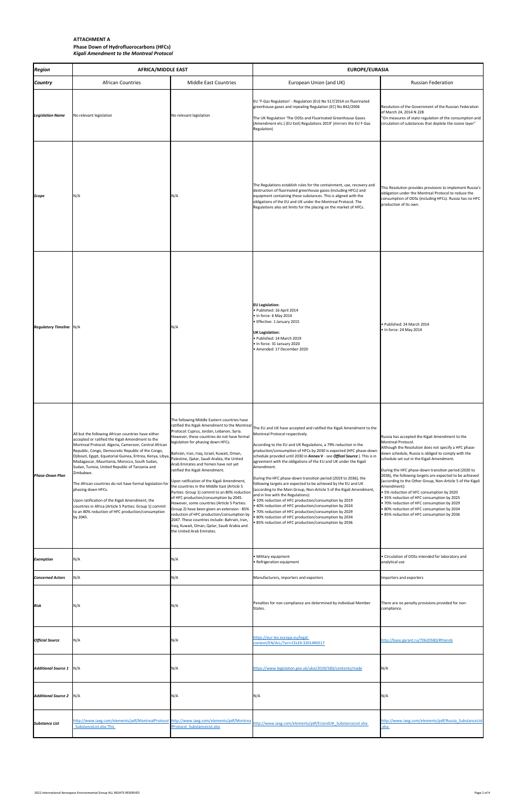# **ATTACHMENT A Phase Down of Hydrofluorocarbons (HFCs)** *Kigali Amendment to the Montreal Protocol*

| <b>Region</b>                  | <b>AFRICA/MIDDLE EAST</b>                                                                                                                                                                                                                                                                                                                                                                                                                                                                                                                                                                                                                                             |                                                                                                                                                                                                                                                                                                                                                                                                                                                                                                                                                                                                                                                                                                                                                                                                                                                                      | <b>EUROPE/EURASIA</b>                                                                                                                                                                                                                                                                                                                                                                                                                                                                                                                                                                                                                                                                                                                                                                                                                                                                                                                                          |                                                                                                                                                                                                                                                                                                                                                                                                                                                                                                                                                                                                                                                                          |  |
|--------------------------------|-----------------------------------------------------------------------------------------------------------------------------------------------------------------------------------------------------------------------------------------------------------------------------------------------------------------------------------------------------------------------------------------------------------------------------------------------------------------------------------------------------------------------------------------------------------------------------------------------------------------------------------------------------------------------|----------------------------------------------------------------------------------------------------------------------------------------------------------------------------------------------------------------------------------------------------------------------------------------------------------------------------------------------------------------------------------------------------------------------------------------------------------------------------------------------------------------------------------------------------------------------------------------------------------------------------------------------------------------------------------------------------------------------------------------------------------------------------------------------------------------------------------------------------------------------|----------------------------------------------------------------------------------------------------------------------------------------------------------------------------------------------------------------------------------------------------------------------------------------------------------------------------------------------------------------------------------------------------------------------------------------------------------------------------------------------------------------------------------------------------------------------------------------------------------------------------------------------------------------------------------------------------------------------------------------------------------------------------------------------------------------------------------------------------------------------------------------------------------------------------------------------------------------|--------------------------------------------------------------------------------------------------------------------------------------------------------------------------------------------------------------------------------------------------------------------------------------------------------------------------------------------------------------------------------------------------------------------------------------------------------------------------------------------------------------------------------------------------------------------------------------------------------------------------------------------------------------------------|--|
| <b>Country</b>                 | <b>African Countries</b>                                                                                                                                                                                                                                                                                                                                                                                                                                                                                                                                                                                                                                              | <b>Middle East Countries</b>                                                                                                                                                                                                                                                                                                                                                                                                                                                                                                                                                                                                                                                                                                                                                                                                                                         | European Union (and UK)                                                                                                                                                                                                                                                                                                                                                                                                                                                                                                                                                                                                                                                                                                                                                                                                                                                                                                                                        | <b>Russian Federation</b>                                                                                                                                                                                                                                                                                                                                                                                                                                                                                                                                                                                                                                                |  |
| <b>Legislation Name</b>        | No relevant legislation                                                                                                                                                                                                                                                                                                                                                                                                                                                                                                                                                                                                                                               | No relevant legislation                                                                                                                                                                                                                                                                                                                                                                                                                                                                                                                                                                                                                                                                                                                                                                                                                                              | EU 'F-Gas Regulation' - Regulation (EU) No 517/2014 on fluorinated<br>greenhouse gases and repealing Regulation (EC) No 842/2006<br>The UK Regulation 'The ODSs and Fluorinated Greenhouse Gases<br>(Amendment etc.) (EU Exit) Regulations 2019' (mirrors the EU F-Gas<br>Regulation)                                                                                                                                                                                                                                                                                                                                                                                                                                                                                                                                                                                                                                                                          | Resolution of the Government of the Russian Federation<br>of March 24, 2014 N 228<br>"On measures of state regulation of the consumption and<br>circulation of substances that deplete the ozone layer"                                                                                                                                                                                                                                                                                                                                                                                                                                                                  |  |
| <b>Scope</b>                   | N/A                                                                                                                                                                                                                                                                                                                                                                                                                                                                                                                                                                                                                                                                   | N/A                                                                                                                                                                                                                                                                                                                                                                                                                                                                                                                                                                                                                                                                                                                                                                                                                                                                  | The Regulations establish rules for the containment, use, recovery and<br>destruction of fluorinated greenhouse gases (including HFCs) and<br>equipment containing these substances. This is aligned with the<br>obligations of the EU and UK under the Montreal Protocol. The<br>Regulations also set limits for the placing on the market of HFCs.                                                                                                                                                                                                                                                                                                                                                                                                                                                                                                                                                                                                           | This Resolution provides provisions to implement Russia's<br>obligation under the Montreal Protocol to reduce the<br>consumption of ODSs (including HFCs). Russia has no HFC<br>production of its own.                                                                                                                                                                                                                                                                                                                                                                                                                                                                   |  |
| <b>Regulatory Timeline</b> N/A |                                                                                                                                                                                                                                                                                                                                                                                                                                                                                                                                                                                                                                                                       | N/A                                                                                                                                                                                                                                                                                                                                                                                                                                                                                                                                                                                                                                                                                                                                                                                                                                                                  | <b>EU Legislation:</b><br>· Published: 16 April 2014<br>• In force: 6 May 2014<br>• Effective: 1 January 2015<br><b>UK Legislation:</b><br>· Published: 14 March 2019<br>. In force: 31 January 2020<br>• Amended: 17 December 2020                                                                                                                                                                                                                                                                                                                                                                                                                                                                                                                                                                                                                                                                                                                            | · Published: 24 March 2014<br>. In force: 24 May 2014                                                                                                                                                                                                                                                                                                                                                                                                                                                                                                                                                                                                                    |  |
| <b>Phase-Down Plan</b>         | All but the following African countries have either<br>accepted or ratified the Kigali Amendment to the<br>Montreal Protocol: Algeria, Cameroon, Central African<br>Republic, Congo, Democratic Republic of the Congo,<br>Djibouti, Egypt, Equatorial Guinea, Eritrea, Kenya, Libya,<br>Madagascar, Mauritania, Morocco, South Sudan,<br>Sudan, Tunisia, United Republic of Tanzania and<br>Zimbabwe.<br>The African countries do not have formal legislation for<br>phasing down HFCs.<br>Upon ratification of the Kigali Amendment, the<br>countries in Africa (Article 5 Parties: Group 1) commit<br>to an 80% reduction of HFC production/consumption<br>by 2045. | The following Middle Eastern countries have<br>ratified the Kigali Amendment to the Montreal<br>Protocol: Cyprus, Jordan, Lebanon, Syria.<br>However, these countries do not have formal<br>legislation for phasing down HFCs.<br>Bahrain, Iran, Iraq, Israel, Kuwait, Oman,<br>Palestine, Qatar, Saudi Arabia, the United<br>Arab Emirates and Yemen have not yet<br>ratified the Kigali Amendment.<br>Upon ratification of the Kigali Amendment,<br>the countries in the Middle East (Article 5<br>Parties: Group 1) commit to an 80% reduction<br>of HFC production/consumption by 2045.<br>However, some countries (Article 5 Parties:<br>Group 2) have been given an extension - 85%<br>reduction of HFC production/consumption by<br>2047. These countries include: Bahrain, Iran,<br>Iraq, Kuwait, Oman, Qatar, Saudi Arabia and<br>the United Arab Emirates. | The EU and UK have accepted and ratified the Kigali Amendment to the<br>Montreal Protocol respectively.<br>According to the EU and UK Regulations, a 79% reduction in the<br>production/consumption of HFCs by 2030 is expected (HFC phase-down<br>schedule provided until 2030 in Annex V - see Offical Source). This is in<br>agreement with the obligations of the EU and UK under the Kigali<br>Amendment.<br>During the HFC phase-down transition period (2019 to 2036), the<br>following targets are expected to be achieved by the EU and UK<br>(according to the Main Group, Non-Article 5 of the Kigali Amendment,<br>and in line with the Regulations):<br>• 10% reduction of HFC production/consumption by 2019<br>• 40% reduction of HFC production/consumption by 2024<br>. 70% reduction of HFC production/consumption by 2029<br>• 80% reduction of HFC production/consumption by 2034<br>• 85% reduction of HFC production/consumption by 2036 | Russia has accepted the Kigali Amendment to the<br>Montreal Protocol.<br>Although the Resolution does not specify a HFC phase-<br>down schedule, Russia is obliged to comply with the<br>schedule set out in the Kigali Amendment.<br>During the HFC phase-down transition period (2020 to<br>2036), the following targets are expected to be achieved<br>(according to the Other Group, Non-Article 5 of the Kigali<br>Amendment):<br>• 5% reduction of HFC consumption by 2020<br>• 35% reduction of HFC consumption by 2025<br>. 70% reduction of HFC consumption by 2029<br>• 80% reduction of HFC consumption by 2034<br>• 85% reduction of HFC consumption by 2036 |  |
| <b>Exemption</b>               | N/A                                                                                                                                                                                                                                                                                                                                                                                                                                                                                                                                                                                                                                                                   | N/A                                                                                                                                                                                                                                                                                                                                                                                                                                                                                                                                                                                                                                                                                                                                                                                                                                                                  | • Military equipment<br>• Refrigeration equipment                                                                                                                                                                                                                                                                                                                                                                                                                                                                                                                                                                                                                                                                                                                                                                                                                                                                                                              | • Circulation of ODSs intended for laboratory and<br>analytical use                                                                                                                                                                                                                                                                                                                                                                                                                                                                                                                                                                                                      |  |
| <b>Concerned Actors</b>        | N/A                                                                                                                                                                                                                                                                                                                                                                                                                                                                                                                                                                                                                                                                   | N/A                                                                                                                                                                                                                                                                                                                                                                                                                                                                                                                                                                                                                                                                                                                                                                                                                                                                  | Manufacturers, importers and exporters                                                                                                                                                                                                                                                                                                                                                                                                                                                                                                                                                                                                                                                                                                                                                                                                                                                                                                                         | Importers and exporters                                                                                                                                                                                                                                                                                                                                                                                                                                                                                                                                                                                                                                                  |  |
| <b>Risk</b>                    | N/A                                                                                                                                                                                                                                                                                                                                                                                                                                                                                                                                                                                                                                                                   | N/A                                                                                                                                                                                                                                                                                                                                                                                                                                                                                                                                                                                                                                                                                                                                                                                                                                                                  | Penalties for non-compliance are determined by individual Member<br>States.                                                                                                                                                                                                                                                                                                                                                                                                                                                                                                                                                                                                                                                                                                                                                                                                                                                                                    | There are no penalty provisions provided for non-<br>compliance.                                                                                                                                                                                                                                                                                                                                                                                                                                                                                                                                                                                                         |  |
| <b>Official Source</b>         | N/A                                                                                                                                                                                                                                                                                                                                                                                                                                                                                                                                                                                                                                                                   | N/A                                                                                                                                                                                                                                                                                                                                                                                                                                                                                                                                                                                                                                                                                                                                                                                                                                                                  | https://eur-lex.europa.eu/legal-<br>content/EN/ALL/?uri=CELEX:32014R0517                                                                                                                                                                                                                                                                                                                                                                                                                                                                                                                                                                                                                                                                                                                                                                                                                                                                                       | http://base.garant.ru/70620580/#friends                                                                                                                                                                                                                                                                                                                                                                                                                                                                                                                                                                                                                                  |  |
| <b>Additional Source 1</b>     | N/A                                                                                                                                                                                                                                                                                                                                                                                                                                                                                                                                                                                                                                                                   | N/A                                                                                                                                                                                                                                                                                                                                                                                                                                                                                                                                                                                                                                                                                                                                                                                                                                                                  | https://www.legislation.gov.uk/uksi/2019/583/contents/made                                                                                                                                                                                                                                                                                                                                                                                                                                                                                                                                                                                                                                                                                                                                                                                                                                                                                                     | N/A                                                                                                                                                                                                                                                                                                                                                                                                                                                                                                                                                                                                                                                                      |  |
| <b>Additional Source 2</b>     | N/A                                                                                                                                                                                                                                                                                                                                                                                                                                                                                                                                                                                                                                                                   | N/A                                                                                                                                                                                                                                                                                                                                                                                                                                                                                                                                                                                                                                                                                                                                                                                                                                                                  | N/A                                                                                                                                                                                                                                                                                                                                                                                                                                                                                                                                                                                                                                                                                                                                                                                                                                                                                                                                                            | N/A                                                                                                                                                                                                                                                                                                                                                                                                                                                                                                                                                                                                                                                                      |  |

| <b>Substance List</b> | <b>SubstanceList.xlsx This</b> | <b>IProtocol SubstanceList.xlsx</b> | http://www.iaeg.com/elements/pdf/MontrealProtocol http://www.iaeg.com/elements/pdf/Montrea http://www.iaeg.com/elements/pdf/EUandUK SubstanceList.xlsx | http://www.iaeg.com/elements/pdf/Russia SubstanceList |
|-----------------------|--------------------------------|-------------------------------------|--------------------------------------------------------------------------------------------------------------------------------------------------------|-------------------------------------------------------|

2021 International Aerospace Environmental Group ALL RIGHTS RESERVED Page 2 of 4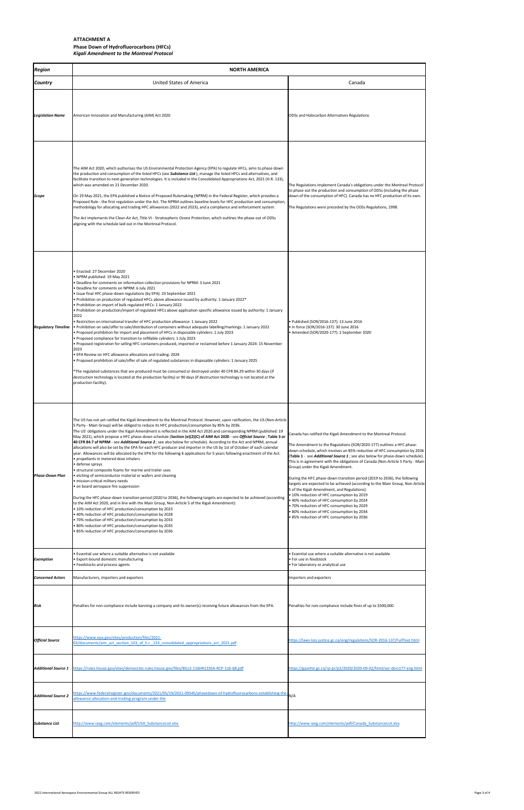# **ATTACHMENT A Phase Down of Hydrofluorocarbons (HFCs)** *Kigali Amendment to the Montreal Protocol*

| <b>Region</b>              | <b>NORTH AMERICA</b>                                                                                                                                                                                                                                                                                                                                                                                                                                                                                                                                                                                                                                                                                                                                                                                                                                                                                                                                                                                                                                                                                                                                                                                                                                                                                                                                                                                                                                                                                                                                                                                                                                            |                                                                                                                                                                                                                                                                                                                                                                                                                                                                                                                                                                                                                                                                                                                                                                                                                                                                                       |  |  |  |
|----------------------------|-----------------------------------------------------------------------------------------------------------------------------------------------------------------------------------------------------------------------------------------------------------------------------------------------------------------------------------------------------------------------------------------------------------------------------------------------------------------------------------------------------------------------------------------------------------------------------------------------------------------------------------------------------------------------------------------------------------------------------------------------------------------------------------------------------------------------------------------------------------------------------------------------------------------------------------------------------------------------------------------------------------------------------------------------------------------------------------------------------------------------------------------------------------------------------------------------------------------------------------------------------------------------------------------------------------------------------------------------------------------------------------------------------------------------------------------------------------------------------------------------------------------------------------------------------------------------------------------------------------------------------------------------------------------|---------------------------------------------------------------------------------------------------------------------------------------------------------------------------------------------------------------------------------------------------------------------------------------------------------------------------------------------------------------------------------------------------------------------------------------------------------------------------------------------------------------------------------------------------------------------------------------------------------------------------------------------------------------------------------------------------------------------------------------------------------------------------------------------------------------------------------------------------------------------------------------|--|--|--|
| <b>Country</b>             | <b>United States of America</b>                                                                                                                                                                                                                                                                                                                                                                                                                                                                                                                                                                                                                                                                                                                                                                                                                                                                                                                                                                                                                                                                                                                                                                                                                                                                                                                                                                                                                                                                                                                                                                                                                                 | Canada                                                                                                                                                                                                                                                                                                                                                                                                                                                                                                                                                                                                                                                                                                                                                                                                                                                                                |  |  |  |
| <b>Legislation Name</b>    | American Innovation and Manufacturing (AIM) Act 2020                                                                                                                                                                                                                                                                                                                                                                                                                                                                                                                                                                                                                                                                                                                                                                                                                                                                                                                                                                                                                                                                                                                                                                                                                                                                                                                                                                                                                                                                                                                                                                                                            | ODSs and Halocarbon Alternatives Regulations                                                                                                                                                                                                                                                                                                                                                                                                                                                                                                                                                                                                                                                                                                                                                                                                                                          |  |  |  |
| Scope                      | The AIM Act 2020, which authorises the US Environmental Protection Agency (EPA) to regulate HFCs, aims to phase down<br>the production and consumption of the listed HFCs (see Substance List), manage the listed HFCs and alternatives, and<br>facilitate transition to next-generation technologies. It is included in the Consolidated Appropriations Act, 2021 (H.R. 133),<br>which was amended on 21 December 2020.<br>On 19 May 2021, the EPA published a Notice of Proposed Rulemaking (NPRM) in the Federal Register, which provides a<br>Proposed Rule - the first regulation under the Act. The NPRM outlines baseline levels for HFC production and consumption,<br>methodology for allocating and trading HFC allowances (2022 and 2023), and a compliance and enforcement system.<br>The Act implements the Clean Air Act, Title VI - Stratospheric Ozone Protection, which outlines the phase out of ODSs<br>aligning with the schedule laid out in the Montreal Protocol.                                                                                                                                                                                                                                                                                                                                                                                                                                                                                                                                                                                                                                                                        | The Regulations implement Canada's obligations under the Montreal Protocol<br>to phase out the production and consumption of ODSs (including the phase<br>down of the consumption of HFC). Canada has no HFC production of its own.<br>The Regulations were preceded by the ODSs Regulations, 1998.                                                                                                                                                                                                                                                                                                                                                                                                                                                                                                                                                                                   |  |  |  |
| <b>Regulatory Timeline</b> | · Enacted: 27 December 2020<br>• NPRM published: 19 May 2021<br>. Deadline for comments on information collection provisions for NPRM: 3 June 2021<br>Deadline for comments on NPRM: 6 July 2021<br>· Issue final HFC phase-down regulations (by EPA): 23 September 2021<br>• Prohibition on production of regulated HFCs above allowance issued by authority: 1 January 2022*<br>. Prohibition on import of bulk regulated HFCs: 1 January 2022<br>• Prohibition on production/import of regulated HFCs above application-specific allowance issued by authority: 1 January<br>2022<br>• Restriction on international transfer of HFC production allowance: 1 January 2022<br>Prohibition on sale/offer to sale/distribution of containers without adequate labelling/markings: 1 January 2022<br>• Proposed prohibition for import and placement of HFCs in disposable cylinders: 1 July 2023<br>. Proposed compliance for transition to refillable cylinders: 1 July 2023<br>• Proposed registration for selling HFC containers produced, imported or reclaimed before 1 January 2024: 15 November<br>2023<br>• EPA Review on HFC allowance allocations and trading: 2024<br>· Proposed prohibition of sale/offer of sale of regulated substances in disposable cylinders: 1 January 2025<br>*The regulated substances that are produced must be consumed or destroyed under 40 CFR 84.29 within 30 days (if<br>destruction technology is located at the production facility) or 90 days (if destruction technology is not located at the<br>production facility).                                                                                           | • Published (SOR/2016-137): 13 June 2016<br>• In force (SOR/2016-137): 30 June 2016<br>• Amended (SOR/2020-177): 2 September 2020                                                                                                                                                                                                                                                                                                                                                                                                                                                                                                                                                                                                                                                                                                                                                     |  |  |  |
| <b>Phase-Down Plan</b>     | The US has not yet ratified the Kigali Amendment to the Montreal Protocol. However, upon ratification, the US (Non-Article<br>5 Party - Main Group) will be obliged to reduce its HFC production/consumption by 85% by 2036.<br>The US' obligations under the Kigali Amendment is reflected in the AIM Act 2020 and corresponding NPRM (published: 19<br>May 2021), which propose a HFC phase-down schedule (Section (e)(2)(C) of AIM Act 2020 - see Official Source; Table 3 or<br>40 CFR 84.7 of NPRM - see Additional Source 2; see also below for schedule). According to the Act and NPRM, annual<br>allocations will also be set by the EPA for each HFC producer and importer in the US by 1st of October of each calendar<br>year. Allowances will be allocated by the EPA for the following 6 applications for 5 years following enactment of the Act:<br>• propellants in metered dose inhalers<br>· defense sprays<br>• structural composite foams for marine and trailer uses<br>• etching of semiconductor material or wafers and cleaning<br>· mission-critical military needs<br>• on board aerospace fire suppression<br>During the HFC phase-down transition period (2020 to 2036), the following targets are expected to be achieved (according<br>to the AIM Act 2020, and in line with the Main Group, Non-Article 5 of the Kigali Amendment):<br>• 10% reduction of HFC production/consumption by 2023<br>• 40% reduction of HFC production/consumption by 2028<br>• 70% reduction of HFC production/consumption by 2033<br>• 80% reduction of HFC production/consumption by 2035<br>• 85% reduction of HFC production/consumption by 2036 | Canada has ratified the Kigali Amendment to the Montreal Protocol.<br>The Amendment to the Regulations (SOR/2020-177) outlines a HFC phase-<br>down schedule, which involves an 85% reduction of HFC consumption by 2036<br>(Table 1 - see Additional Source 1; see also below for phase-down schedule).<br>This is in agreement with the obligations of Canada (Non-Article 5 Party - Main<br>Group) under the Kigali Amendment.<br>During the HFC phase-down transition period (2019 to 2036), the following<br>targets are expected to be achieved (according to the Main Group, Non-Article<br>5 of the Kigali Amendment, and Regulations):<br>• 10% reduction of HFC consumption by 2019<br>• 40% reduction of HFC consumption by 2024<br>. 70% reduction of HFC consumption by 2029<br>• 80% reduction of HFC consumption by 2034<br>• 85% reduction of HFC consumption by 2036 |  |  |  |
| <b>Exemption</b>           | Essential use where a suitable alternative is not available<br>· Export-bound domestic manufacturing<br>• Feedstocks and process agents                                                                                                                                                                                                                                                                                                                                                                                                                                                                                                                                                                                                                                                                                                                                                                                                                                                                                                                                                                                                                                                                                                                                                                                                                                                                                                                                                                                                                                                                                                                         | • Essential use where a suitable alternative is not available<br>• For use in feedstock<br>• For laboratory or analytical use                                                                                                                                                                                                                                                                                                                                                                                                                                                                                                                                                                                                                                                                                                                                                         |  |  |  |
| <b>Concerned Actors</b>    | Manufacturers, importers and exporters                                                                                                                                                                                                                                                                                                                                                                                                                                                                                                                                                                                                                                                                                                                                                                                                                                                                                                                                                                                                                                                                                                                                                                                                                                                                                                                                                                                                                                                                                                                                                                                                                          | Importers and exporters                                                                                                                                                                                                                                                                                                                                                                                                                                                                                                                                                                                                                                                                                                                                                                                                                                                               |  |  |  |
| Risk                       | Penalties for non-compliance include banning a company and its owner(s) receiving future allowances from the EPA.                                                                                                                                                                                                                                                                                                                                                                                                                                                                                                                                                                                                                                                                                                                                                                                                                                                                                                                                                                                                                                                                                                                                                                                                                                                                                                                                                                                                                                                                                                                                               | Penalties for non-compliance include fines of up to \$500,000.                                                                                                                                                                                                                                                                                                                                                                                                                                                                                                                                                                                                                                                                                                                                                                                                                        |  |  |  |
| <b>Official Source</b>     | https://www.epa.gov/sites/production/files/2021-<br>03/documents/aim act section 103 of h.r. 133 consolidated appropriations act 2021.pdf                                                                                                                                                                                                                                                                                                                                                                                                                                                                                                                                                                                                                                                                                                                                                                                                                                                                                                                                                                                                                                                                                                                                                                                                                                                                                                                                                                                                                                                                                                                       | https://laws-lois.justice.gc.ca/eng/regulations/SOR-2016-137/FullText.html                                                                                                                                                                                                                                                                                                                                                                                                                                                                                                                                                                                                                                                                                                                                                                                                            |  |  |  |
| <b>Additional Source 1</b> | https://rules.house.gov/sites/democrats.rules.house.gov/files/BILLS-116HR133SA-RCP-116-68.pdf                                                                                                                                                                                                                                                                                                                                                                                                                                                                                                                                                                                                                                                                                                                                                                                                                                                                                                                                                                                                                                                                                                                                                                                                                                                                                                                                                                                                                                                                                                                                                                   | https://gazette.gc.ca/rp-pr/p2/2020/2020-09-02/html/sor-dors177-eng.html                                                                                                                                                                                                                                                                                                                                                                                                                                                                                                                                                                                                                                                                                                                                                                                                              |  |  |  |
| <b>Additional Source 2</b> | https://www.federalregister.gov/documents/2021/05/19/2021-09545/phasedown-of-hydrofluorocarbons-establishing-the-<br>allowance-allocation-and-trading-program-under-the                                                                                                                                                                                                                                                                                                                                                                                                                                                                                                                                                                                                                                                                                                                                                                                                                                                                                                                                                                                                                                                                                                                                                                                                                                                                                                                                                                                                                                                                                         | N/A                                                                                                                                                                                                                                                                                                                                                                                                                                                                                                                                                                                                                                                                                                                                                                                                                                                                                   |  |  |  |

| <b>Substance List</b> | http://www.iaeg.com/elements/pdf/USA SubstanceList.xlsx | http://www.iaeg.com/elements/pdf/Canada SubstanceList.xlsx |
|-----------------------|---------------------------------------------------------|------------------------------------------------------------|

2021 International Aerospace Environmental Group ALL RIGHTS RESERVED Page 3 of 4